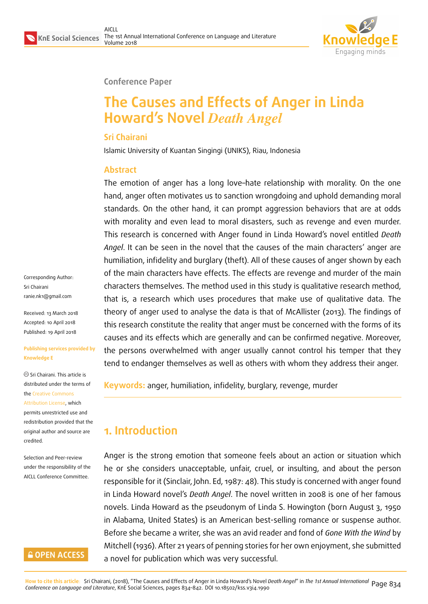

#### **Conference Paper**

# **The Causes and Effects of Anger in Linda Howard's Novel** *Death Angel*

#### **Sri Chairani**

Islamic University of Kuantan Singingi (UNIKS), Riau, Indonesia

#### **Abstract**

The emotion of anger has a long love–hate relationship with morality. On the one hand, anger often motivates us to sanction wrongdoing and uphold demanding moral standards. On the other hand, it can prompt aggression behaviors that are at odds with morality and even lead to moral disasters, such as revenge and even murder. This research is concerned with Anger found in Linda Howard's novel entitled *Death Angel*. It can be seen in the novel that the causes of the main characters' anger are humiliation, infidelity and burglary (theft). All of these causes of anger shown by each of the main characters have effects. The effects are revenge and murder of the main characters themselves. The method used in this study is qualitative research method, that is, a research which uses procedures that make use of qualitative data. The theory of anger used to analyse the data is that of McAllister (2013). The findings of this research constitute the reality that anger must be concerned with the forms of its causes and its effects which are generally and can be confirmed negative. Moreover, the persons overwhelmed with anger usually cannot control his temper that they tend to endanger themselves as well as others with whom they address their anger.

**Keywords:** anger, humiliation, infidelity, burglary, revenge, murder

## **1. Introduction**

Anger is the strong emotion that someone feels about an action or situation which he or she considers unacceptable, unfair, cruel, or insulting, and about the person responsible for it (Sinclair, John. Ed, 1987: 48). This study is concerned with anger found in Linda Howard novel's *Death Angel*. The novel written in 2008 is one of her famous novels. Linda Howard as the pseudonym of Linda S. Howington (born August 3, 1950 in Alabama, United States) is an American best-selling romance or suspense author. Before she became a writer, she was an avid reader and fond of *Gone With the Wind* by Mitchell (1936). After 21 years of penning stories for her own enjoyment, she submitted a novel for publication which was very successful.

Corresponding Author: Sri Chairani ranie.nk1@gmail.com

Received: 13 March 2018 Accepted: 10 April 2018 [Published: 19 April 201](mailto:ranie.nk1@gmail.com)8

#### **Publishing services provided by Knowledge E**

Sri Chairani. This article is distributed under the terms of the Creative Commons Attribution License, which permits unrestricted use and redistribution provided that the ori[ginal author and sou](https://creativecommons.org/licenses/by/4.0/)rce are [credited.](https://creativecommons.org/licenses/by/4.0/)

Selection and Peer-review under the responsibility of the AICLL Conference Committee.

#### **GOPEN ACCESS**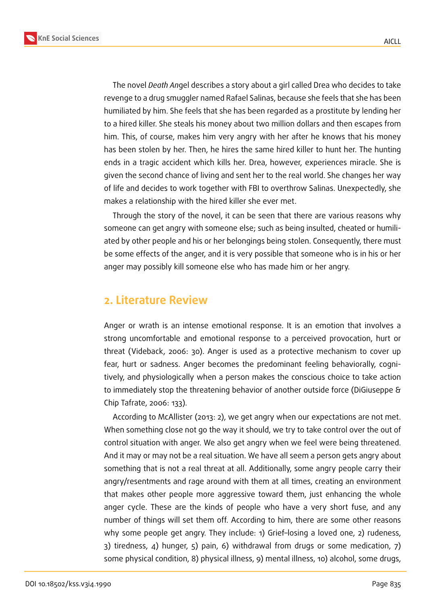**KnE Social Sciences**



The novel *Death An*gel describes a story about a girl called Drea who decides to take revenge to a drug smuggler named Rafael Salinas, because she feels that she has been humiliated by him. She feels that she has been regarded as a prostitute by lending her to a hired killer. She steals his money about two million dollars and then escapes from him. This, of course, makes him very angry with her after he knows that his money has been stolen by her. Then, he hires the same hired killer to hunt her. The hunting ends in a tragic accident which kills her. Drea, however, experiences miracle. She is given the second chance of living and sent her to the real world. She changes her way of life and decides to work together with FBI to overthrow Salinas. Unexpectedly, she makes a relationship with the hired killer she ever met.

Through the story of the novel, it can be seen that there are various reasons why someone can get angry with someone else; such as being insulted, cheated or humiliated by other people and his or her belongings being stolen. Consequently, there must be some effects of the anger, and it is very possible that someone who is in his or her anger may possibly kill someone else who has made him or her angry.

### **2. Literature Review**

Anger or wrath is an intense emotional response. It is an emotion that involves a strong uncomfortable and emotional response to a perceived provocation, hurt or threat (Videback, 2006: 30). Anger is used as a protective mechanism to cover up fear, hurt or sadness. Anger becomes the predominant feeling behaviorally, cognitively, and physiologically when a person makes the conscious choice to take action to immediately stop the threatening behavior of another outside force (DiGiuseppe & Chip Tafrate, 2006: 133).

According to McAllister (2013: 2), we get angry when our expectations are not met. When something close not go the way it should, we try to take control over the out of control situation with anger. We also get angry when we feel were being threatened. And it may or may not be a real situation. We have all seem a person gets angry about something that is not a real threat at all. Additionally, some angry people carry their angry/resentments and rage around with them at all times, creating an environment that makes other people more aggressive toward them, just enhancing the whole anger cycle. These are the kinds of people who have a very short fuse, and any number of things will set them off. According to him, there are some other reasons why some people get angry. They include: 1) Grief–losing a loved one, 2) rudeness, 3) tiredness, 4) hunger, 5) pain, 6) withdrawal from drugs or some medication, 7) some physical condition, 8) physical illness, 9) mental illness, 10) alcohol, some drugs,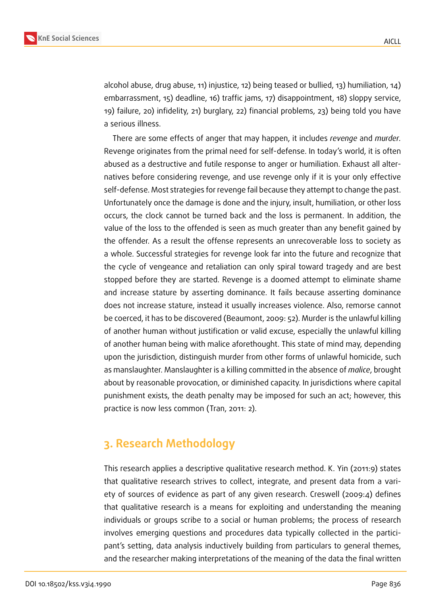

alcohol abuse, drug abuse, 11) injustice, 12) being teased or bullied, 13) humiliation, 14) embarrassment, 15) deadline, 16) traffic jams, 17) disappointment, 18) sloppy service, 19) failure, 20) infidelity, 21) burglary, 22) financial problems, 23) being told you have a serious illness.

There are some effects of anger that may happen, it includes *revenge* and *murder.* Revenge originates from the primal need for self-defense. In today's world, it is often abused as a destructive and futile response to anger or humiliation. Exhaust all alternatives before considering revenge, and use revenge only if it is your only effective self-defense. Most strategies for revenge fail because they attempt to change the past. Unfortunately once the damage is done and the injury, insult, humiliation, or other loss occurs, the clock cannot be turned back and the loss is permanent. In addition, the value of the loss to the offended is seen as much greater than any benefit gained by the offender. As a result the offense represents an unrecoverable loss to society as a whole. Successful strategies for revenge look far into the future and recognize that the cycle of vengeance and retaliation can only spiral toward tragedy and are best stopped before they are started. Revenge is a doomed attempt to eliminate shame and increase stature by asserting dominance. It fails because asserting dominance does not increase stature, instead it usually increases violence. Also, remorse cannot be coerced, it has to be discovered (Beaumont, 2009: 52). Murder is the unlawful killing of another human without justification or valid excuse, especially the unlawful killing of another human being with malice aforethought. This state of mind may, depending upon the jurisdiction, distinguish murder from other forms of unlawful homicide, such as manslaughter. Manslaughter is a killing committed in the absence of *malice*, brought about by reasonable provocation, or diminished capacity. In jurisdictions where capital punishment exists, the death penalty may be imposed for such an act; however, this practice is now less common (Tran, 2011: 2).

## **3. Research Methodology**

This research applies a descriptive qualitative research method. K. Yin (2011:9) states that qualitative research strives to collect, integrate, and present data from a variety of sources of evidence as part of any given research. Creswell (2009:4) defines that qualitative research is a means for exploiting and understanding the meaning individuals or groups scribe to a social or human problems; the process of research involves emerging questions and procedures data typically collected in the participant's setting, data analysis inductively building from particulars to general themes, and the researcher making interpretations of the meaning of the data the final written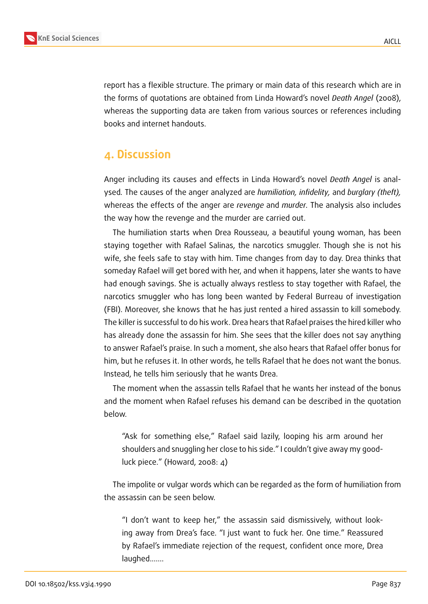

report has a flexible structure. The primary or main data of this research which are in the forms of quotations are obtained from Linda Howard's novel *Death Angel* (2008), whereas the supporting data are taken from various sources or references including books and internet handouts.

## **4. Discussion**

Anger including its causes and effects in Linda Howard's novel *Death Angel* is analysed*.* The causes of the anger analyzed are *humiliation, infidelity,* and *burglary (theft),* whereas the effects of the anger are *revenge* and *murder.* The analysis also includes the way how the revenge and the murder are carried out.

The humiliation starts when Drea Rousseau, a beautiful young woman, has been staying together with Rafael Salinas, the narcotics smuggler. Though she is not his wife, she feels safe to stay with him. Time changes from day to day. Drea thinks that someday Rafael will get bored with her, and when it happens, later she wants to have had enough savings. She is actually always restless to stay together with Rafael, the narcotics smuggler who has long been wanted by Federal Burreau of investigation (FBI). Moreover, she knows that he has just rented a hired assassin to kill somebody. The killer is successful to do his work. Drea hears that Rafael praises the hired killer who has already done the assassin for him. She sees that the killer does not say anything to answer Rafael's praise. In such a moment, she also hears that Rafael offer bonus for him, but he refuses it. In other words, he tells Rafael that he does not want the bonus. Instead, he tells him seriously that he wants Drea.

The moment when the assassin tells Rafael that he wants her instead of the bonus and the moment when Rafael refuses his demand can be described in the quotation below.

"Ask for something else," Rafael said lazily, looping his arm around her shoulders and snuggling her close to his side." I couldn't give away my goodluck piece." (Howard, 2008: 4)

The impolite or vulgar words which can be regarded as the form of humiliation from the assassin can be seen below.

"I don't want to keep her," the assassin said dismissively, without looking away from Drea's face. "I just want to fuck her. One time." Reassured by Rafael's immediate rejection of the request, confident once more, Drea laughed...….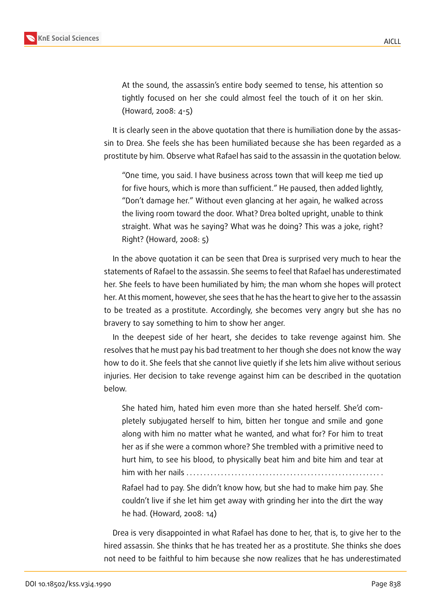At the sound, the assassin's entire body seemed to tense, his attention so tightly focused on her she could almost feel the touch of it on her skin. (Howard, 2008: 4-5)

It is clearly seen in the above quotation that there is humiliation done by the assassin to Drea. She feels she has been humiliated because she has been regarded as a prostitute by him. Observe what Rafael has said to the assassin in the quotation below.

"One time, you said. I have business across town that will keep me tied up for five hours, which is more than sufficient." He paused, then added lightly, "Don't damage her." Without even glancing at her again, he walked across the living room toward the door. What? Drea bolted upright, unable to think straight. What was he saying? What was he doing? This was a joke, right? Right? (Howard, 2008: 5)

In the above quotation it can be seen that Drea is surprised very much to hear the statements of Rafael to the assassin. She seems to feel that Rafael has underestimated her. She feels to have been humiliated by him; the man whom she hopes will protect her. At this moment, however, she sees that he has the heart to give her to the assassin to be treated as a prostitute. Accordingly, she becomes very angry but she has no bravery to say something to him to show her anger.

In the deepest side of her heart, she decides to take revenge against him. She resolves that he must pay his bad treatment to her though she does not know the way how to do it. She feels that she cannot live quietly if she lets him alive without serious injuries. Her decision to take revenge against him can be described in the quotation below.

She hated him, hated him even more than she hated herself. She'd completely subjugated herself to him, bitten her tongue and smile and gone along with him no matter what he wanted, and what for? For him to treat her as if she were a common whore? She trembled with a primitive need to hurt him, to see his blood, to physically beat him and bite him and tear at him with her nails  $\dots\dots\dots$ .

Rafael had to pay. She didn't know how, but she had to make him pay. She couldn't live if she let him get away with grinding her into the dirt the way he had. (Howard, 2008: 14)

Drea is very disappointed in what Rafael has done to her, that is, to give her to the hired assassin. She thinks that he has treated her as a prostitute. She thinks she does not need to be faithful to him because she now realizes that he has underestimated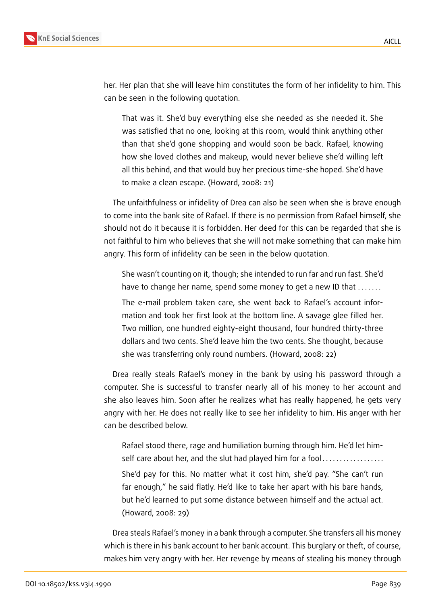

her. Her plan that she will leave him constitutes the form of her infidelity to him. This can be seen in the following quotation.

That was it. She'd buy everything else she needed as she needed it. She was satisfied that no one, looking at this room, would think anything other than that she'd gone shopping and would soon be back. Rafael, knowing how she loved clothes and makeup, would never believe she'd willing left all this behind, and that would buy her precious time-she hoped. She'd have to make a clean escape. (Howard, 2008: 21)

The unfaithfulness or infidelity of Drea can also be seen when she is brave enough to come into the bank site of Rafael. If there is no permission from Rafael himself, she should not do it because it is forbidden. Her deed for this can be regarded that she is not faithful to him who believes that she will not make something that can make him angry. This form of infidelity can be seen in the below quotation.

She wasn't counting on it, though; she intended to run far and run fast. She'd have to change her name, spend some money to get a new ID that .......

The e-mail problem taken care, she went back to Rafael's account information and took her first look at the bottom line. A savage glee filled her. Two million, one hundred eighty-eight thousand, four hundred thirty-three dollars and two cents. She'd leave him the two cents. She thought, because she was transferring only round numbers. (Howard, 2008: 22)

Drea really steals Rafael's money in the bank by using his password through a computer. She is successful to transfer nearly all of his money to her account and she also leaves him. Soon after he realizes what has really happened, he gets very angry with her. He does not really like to see her infidelity to him. His anger with her can be described below.

Rafael stood there, rage and humiliation burning through him. He'd let himself care about her, and the slut had played him for a fool . . . . . . . . . . . . . . . . . . She'd pay for this. No matter what it cost him, she'd pay. "She can't run far enough," he said flatly. He'd like to take her apart with his bare hands, but he'd learned to put some distance between himself and the actual act. (Howard, 2008: 29)

Drea steals Rafael's money in a bank through a computer. She transfers all his money which is there in his bank account to her bank account. This burglary or theft, of course, makes him very angry with her. Her revenge by means of stealing his money through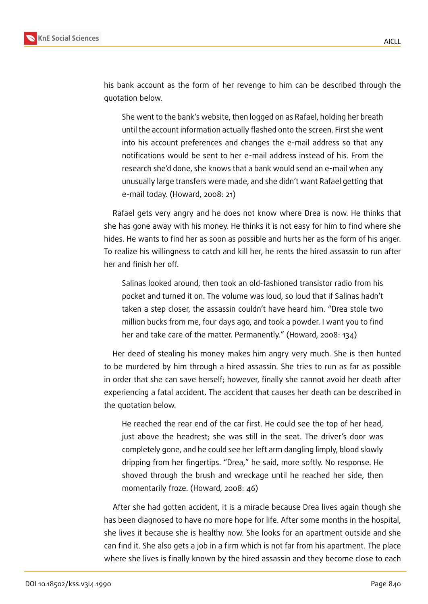

his bank account as the form of her revenge to him can be described through the quotation below.

She went to the bank's website, then logged on as Rafael, holding her breath until the account information actually flashed onto the screen. First she went into his account preferences and changes the e-mail address so that any notifications would be sent to her e-mail address instead of his. From the research she'd done, she knows that a bank would send an e-mail when any unusually large transfers were made, and she didn't want Rafael getting that e-mail today. (Howard, 2008: 21)

Rafael gets very angry and he does not know where Drea is now. He thinks that she has gone away with his money. He thinks it is not easy for him to find where she hides. He wants to find her as soon as possible and hurts her as the form of his anger. To realize his willingness to catch and kill her, he rents the hired assassin to run after her and finish her off.

Salinas looked around, then took an old-fashioned transistor radio from his pocket and turned it on. The volume was loud, so loud that if Salinas hadn't taken a step closer, the assassin couldn't have heard him. "Drea stole two million bucks from me, four days ago, and took a powder. I want you to find her and take care of the matter. Permanently." (Howard, 2008: 134)

Her deed of stealing his money makes him angry very much. She is then hunted to be murdered by him through a hired assassin. She tries to run as far as possible in order that she can save herself; however, finally she cannot avoid her death after experiencing a fatal accident. The accident that causes her death can be described in the quotation below.

He reached the rear end of the car first. He could see the top of her head, just above the headrest; she was still in the seat. The driver's door was completely gone, and he could see her left arm dangling limply, blood slowly dripping from her fingertips. "Drea," he said, more softly. No response. He shoved through the brush and wreckage until he reached her side, then momentarily froze. (Howard, 2008: 46)

After she had gotten accident, it is a miracle because Drea lives again though she has been diagnosed to have no more hope for life. After some months in the hospital, she lives it because she is healthy now. She looks for an apartment outside and she can find it. She also gets a job in a firm which is not far from his apartment. The place where she lives is finally known by the hired assassin and they become close to each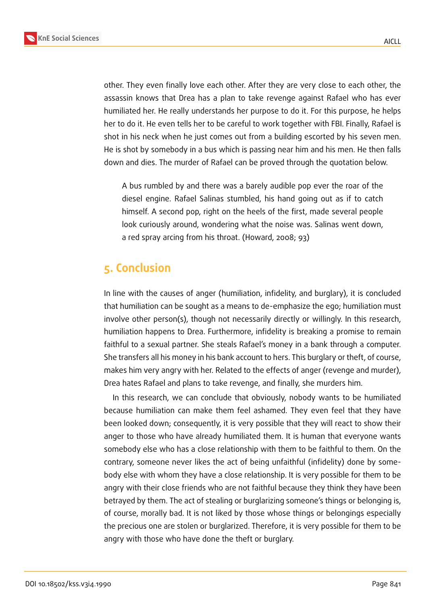

other. They even finally love each other. After they are very close to each other, the assassin knows that Drea has a plan to take revenge against Rafael who has ever humiliated her. He really understands her purpose to do it. For this purpose, he helps her to do it. He even tells her to be careful to work together with FBI. Finally, Rafael is shot in his neck when he just comes out from a building escorted by his seven men. He is shot by somebody in a bus which is passing near him and his men. He then falls down and dies. The murder of Rafael can be proved through the quotation below.

A bus rumbled by and there was a barely audible pop ever the roar of the diesel engine. Rafael Salinas stumbled, his hand going out as if to catch himself. A second pop, right on the heels of the first, made several people look curiously around, wondering what the noise was. Salinas went down, a red spray arcing from his throat. (Howard, 2008; 93)

## **5. Conclusion**

In line with the causes of anger (humiliation, infidelity, and burglary), it is concluded that humiliation can be sought as a means to de-emphasize the ego; humiliation must involve other person(s), though not necessarily directly or willingly. In this research, humiliation happens to Drea. Furthermore, infidelity is breaking a promise to remain faithful to a sexual partner. She steals Rafael's money in a bank through a computer. She transfers all his money in his bank account to hers. This burglary or theft, of course, makes him very angry with her. Related to the effects of anger (revenge and murder), Drea hates Rafael and plans to take revenge, and finally, she murders him.

In this research, we can conclude that obviously, nobody wants to be humiliated because humiliation can make them feel ashamed. They even feel that they have been looked down; consequently, it is very possible that they will react to show their anger to those who have already humiliated them. It is human that everyone wants somebody else who has a close relationship with them to be faithful to them. On the contrary, someone never likes the act of being unfaithful (infidelity) done by somebody else with whom they have a close relationship. It is very possible for them to be angry with their close friends who are not faithful because they think they have been betrayed by them. The act of stealing or burglarizing someone's things or belonging is, of course, morally bad. It is not liked by those whose things or belongings especially the precious one are stolen or burglarized. Therefore, it is very possible for them to be angry with those who have done the theft or burglary.